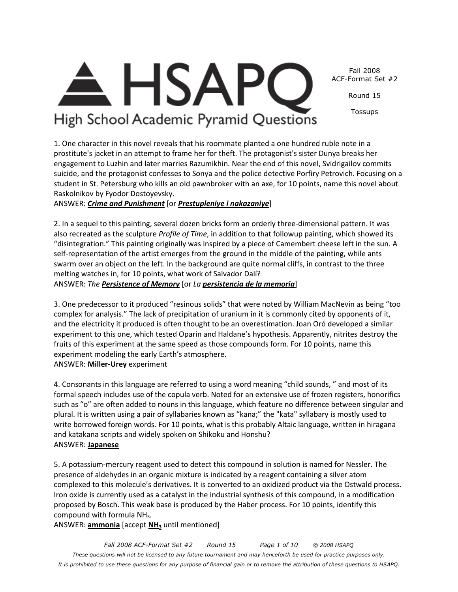*Fall 2008 ACF-Format Set #2 Round 15 Page 1 of 10 © 2008 HSAPQ These questions will not be licensed to any future tournament and may henceforth be used for practice purposes only. It is prohibited to use these questions for any purpose of financial gain or to remove the attribution of these questions to HSAPQ.* 

#### Fall 2008 ACF-Format Set #2

Round 15

Tossups

**HSAP** High School Academic Pyramid Questions

1. One character in this novel reveals that his roommate planted a one hundred ruble note in a prostitute's jacket in an attempt to frame her for theft. The protagonist's sister Dunya breaks her engagement to Luzhin and later marries Razumikhin. Near the end of this novel, Svidrigailov commits suicide, and the protagonist confesses to Sonya and the police detective Porfiry Petrovich. Focusing on a student in St. Petersburg who kills an old pawnbroker with an axe, for 10 points, name this novel about Raskolnikov by Fyodor Dostoyevsky.

ANSWER: *Crime and Punishment* [or *Prestupleniye i nakazaniye*]

2. In a sequel to this painting, several dozen bricks form an orderly three-dimensional pattern. It was also recreated as the sculpture *Profile of Time*, in addition to that followup painting, which showed its "disintegration." This painting originally was inspired by a piece of Camembert cheese left in the sun. A self-representation of the artist emerges from the ground in the middle of the painting, while ants swarm over an object on the left. In the background are quite normal cliffs, in contrast to the three melting watches in, for 10 points, what work of Salvador Dalí? ANSWER: *The Persistence of Memory* [or *La persistencia de la memoria*]

3. One predecessor to it produced "resinous solids" that were noted by William MacNevin as being "too complex for analysis." The lack of precipitation of uranium in it is commonly cited by opponents of it, and the electricity it produced is often thought to be an overestimation. Joan Oró developed a similar experiment to this one, which tested Oparin and Haldane's hypothesis. Apparently, nitrites destroy the fruits of this experiment at the same speed as those compounds form. For 10 points, name this experiment modeling the early Earth's atmosphere. ANSWER: **Miller-Urey** experiment

4. Consonants in this language are referred to using a word meaning "child sounds, " and most of its formal speech includes use of the copula verb. Noted for an extensive use of frozen registers, honorifics such as "o" are often added to nouns in this language, which feature no difference between singular and plural. It is written using a pair of syllabaries known as "kana;" the "kata" syllabary is mostly used to write borrowed foreign words. For 10 points, what is this probably Altaic language, written in hiragana and katakana scripts and widely spoken on Shikoku and Honshu? ANSWER: **Japanese**

5. A potassium-mercury reagent used to detect this compound in solution is named for Nessler. The presence of aldehydes in an organic mixture is indicated by a reagent containing a silver atom complexed to this molecule's derivatives. It is converted to an oxidized product via the Ostwald process. Iron oxide is currently used as a catalyst in the industrial synthesis of this compound, in a modification proposed by Bosch. This weak base is produced by the Haber process. For 10 points, identify this compound with formula  $NH<sub>3</sub>$ .

ANSWER: **ammonia** [accept **NH3** until mentioned]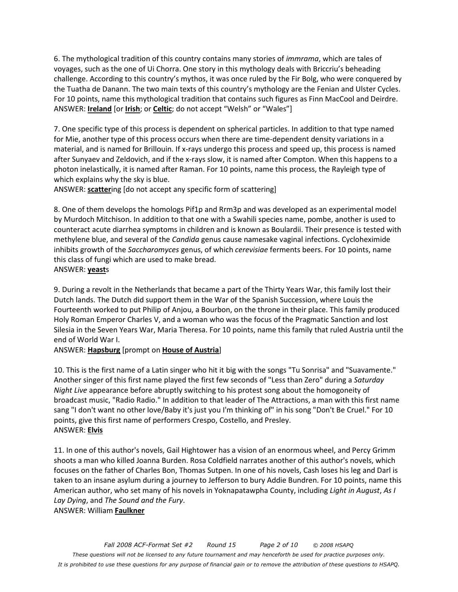6. The mythological tradition of this country contains many stories of *immrama*, which are tales of voyages, such as the one of Ui Chorra. One story in this mythology deals with Briccriu's beheading challenge. According to this country's mythos, it was once ruled by the Fir Bolg, who were conquered by the Tuatha de Danann. The two main texts of this country's mythology are the Fenian and Ulster Cycles. For 10 points, name this mythological tradition that contains such figures as Finn MacCool and Deirdre. ANSWER: **Ireland** [or **Irish**; or **Celtic**; do not accept "Welsh" or "Wales"]

7. One specific type of this process is dependent on spherical particles. In addition to that type named for Mie, another type of this process occurs when there are time-dependent density variations in a material, and is named for Brillouin. If x-rays undergo this process and speed up, this process is named after Sunyaev and Zeldovich, and if the x-rays slow, it is named after Compton. When this happens to a photon inelastically, it is named after Raman. For 10 points, name this process, the Rayleigh type of which explains why the sky is blue.

ANSWER: **scatter**ing [do not accept any specific form of scattering]

8. One of them develops the homologs Pif1p and Rrm3p and was developed as an experimental model by Murdoch Mitchison. In addition to that one with a Swahili species name, pombe, another is used to counteract acute diarrhea symptoms in children and is known as Boulardii. Their presence is tested with methylene blue, and several of the *Candida* genus cause namesake vaginal infections. Cycloheximide inhibits growth of the *Saccharomyces* genus, of which *cerevisiae* ferments beers. For 10 points, name this class of fungi which are used to make bread. ANSWER: **yeast**s

9. During a revolt in the Netherlands that became a part of the Thirty Years War, this family lost their Dutch lands. The Dutch did support them in the War of the Spanish Succession, where Louis the Fourteenth worked to put Philip of Anjou, a Bourbon, on the throne in their place. This family produced Holy Roman Emperor Charles V, and a woman who was the focus of the Pragmatic Sanction and lost Silesia in the Seven Years War, Maria Theresa. For 10 points, name this family that ruled Austria until the end of World War I.

ANSWER: **Hapsburg** [prompt on **House of Austria**]

10. This is the first name of a Latin singer who hit it big with the songs "Tu Sonrisa" and "Suavamente." Another singer of this first name played the first few seconds of "Less than Zero" during a *Saturday Night Live* appearance before abruptly switching to his protest song about the homogoneity of broadcast music, "Radio Radio." In addition to that leader of The Attractions, a man with this first name sang "I don't want no other love/Baby it's just you I'm thinking of" in his song "Don't Be Cruel." For 10 points, give this first name of performers Crespo, Costello, and Presley. ANSWER: **Elvis**

11. In one of this author's novels, Gail Hightower has a vision of an enormous wheel, and Percy Grimm shoots a man who killed Joanna Burden. Rosa Coldfield narrates another of this author's novels, which focuses on the father of Charles Bon, Thomas Sutpen. In one of his novels, Cash loses his leg and Darl is taken to an insane asylum during a journey to Jefferson to bury Addie Bundren. For 10 points, name this American author, who set many of his novels in Yoknapatawpha County, including *Light in August*, *As I Lay Dying*, and *The Sound and the Fury*. ANSWER: William **Faulkner**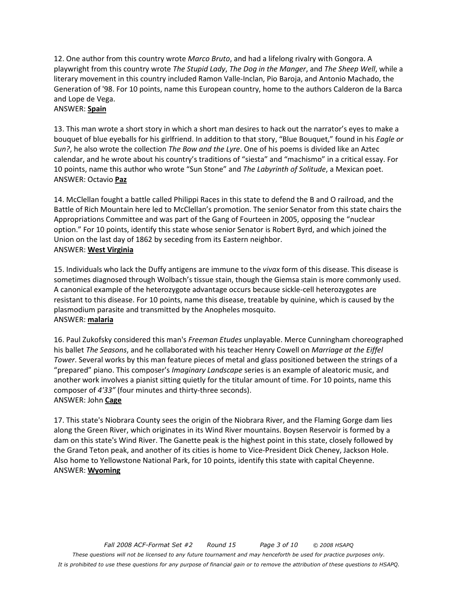12. One author from this country wrote *Marco Bruto*, and had a lifelong rivalry with Gongora. A playwright from this country wrote *The Stupid Lady*, *The Dog in the Manger*, and *The Sheep Well*, while a literary movement in this country included Ramon Valle-Inclan, Pio Baroja, and Antonio Machado, the Generation of '98. For 10 points, name this European country, home to the authors Calderon de la Barca and Lope de Vega.

#### ANSWER: **Spain**

13. This man wrote a short story in which a short man desires to hack out the narrator's eyes to make a bouquet of blue eyeballs for his girlfriend. In addition to that story, "Blue Bouquet," found in his *Eagle or Sun?*, he also wrote the collection *The Bow and the Lyre*. One of his poems is divided like an Aztec calendar, and he wrote about his country's traditions of "siesta" and "machismo" in a critical essay. For 10 points, name this author who wrote "Sun Stone" and *The Labyrinth of Solitude*, a Mexican poet. ANSWER: Octavio **Paz**

14. McClellan fought a battle called Philippi Races in this state to defend the B and O railroad, and the Battle of Rich Mountain here led to McClellan's promotion. The senior Senator from this state chairs the Appropriations Committee and was part of the Gang of Fourteen in 2005, opposing the "nuclear option." For 10 points, identify this state whose senior Senator is Robert Byrd, and which joined the Union on the last day of 1862 by seceding from its Eastern neighbor. ANSWER: **West Virginia**

15. Individuals who lack the Duffy antigens are immune to the *vivax* form of this disease. This disease is sometimes diagnosed through Wolbach's tissue stain, though the Giemsa stain is more commonly used. A canonical example of the heterozygote advantage occurs because sickle-cell heterozygotes are resistant to this disease. For 10 points, name this disease, treatable by quinine, which is caused by the plasmodium parasite and transmitted by the Anopheles mosquito. ANSWER: **malaria**

16. Paul Zukofsky considered this man's *Freeman Etudes* unplayable. Merce Cunningham choreographed his ballet *The Seasons*, and he collaborated with his teacher Henry Cowell on *Marriage at the Eiffel Tower*. Several works by this man feature pieces of metal and glass positioned between the strings of a "prepared" piano. This composer's *Imaginary Landscape* series is an example of aleatoric music, and another work involves a pianist sitting quietly for the titular amount of time. For 10 points, name this composer of *4'33"* (four minutes and thirty-three seconds). ANSWER: John **Cage**

17. This state's Niobrara County sees the origin of the Niobrara River, and the Flaming Gorge dam lies along the Green River, which originates in its Wind River mountains. Boysen Reservoir is formed by a dam on this state's Wind River. The Ganette peak is the highest point in this state, closely followed by the Grand Teton peak, and another of its cities is home to Vice-President Dick Cheney, Jackson Hole. Also home to Yellowstone National Park, for 10 points, identify this state with capital Cheyenne. ANSWER: **Wyoming**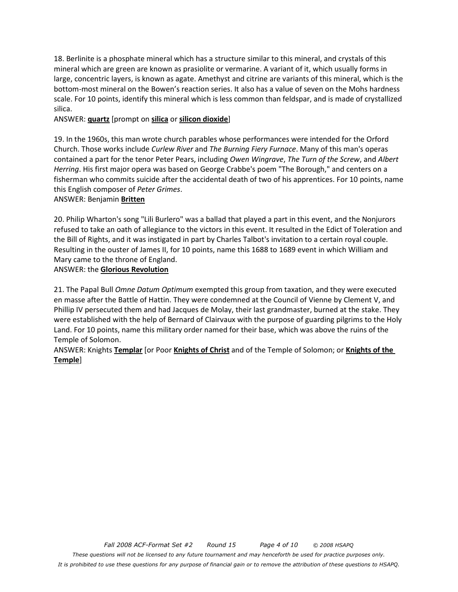18. Berlinite is a phosphate mineral which has a structure similar to this mineral, and crystals of this mineral which are green are known as prasiolite or vermarine. A variant of it, which usually forms in large, concentric layers, is known as agate. Amethyst and citrine are variants of this mineral, which is the bottom-most mineral on the Bowen's reaction series. It also has a value of seven on the Mohs hardness scale. For 10 points, identify this mineral which is less common than feldspar, and is made of crystallized silica.

#### ANSWER: **quartz** [prompt on **silica** or **silicon dioxide**]

19. In the 1960s, this man wrote church parables whose performances were intended for the Orford Church. Those works include *Curlew River* and *The Burning Fiery Furnace*. Many of this man's operas contained a part for the tenor Peter Pears, including *Owen Wingrave*, *The Turn of the Screw*, and *Albert Herring*. His first major opera was based on George Crabbe's poem "The Borough," and centers on a fisherman who commits suicide after the accidental death of two of his apprentices. For 10 points, name this English composer of *Peter Grimes*.

#### ANSWER: Benjamin **Britten**

20. Philip Wharton's song "Lili Burlero" was a ballad that played a part in this event, and the Nonjurors refused to take an oath of allegiance to the victors in this event. It resulted in the Edict of Toleration and the Bill of Rights, and it was instigated in part by Charles Talbot's invitation to a certain royal couple. Resulting in the ouster of James II, for 10 points, name this 1688 to 1689 event in which William and Mary came to the throne of England.

#### ANSWER: the **Glorious Revolution**

21. The Papal Bull *Omne Datum Optimum* exempted this group from taxation, and they were executed en masse after the Battle of Hattin. They were condemned at the Council of Vienne by Clement V, and Phillip IV persecuted them and had Jacques de Molay, their last grandmaster, burned at the stake. They were established with the help of Bernard of Clairvaux with the purpose of guarding pilgrims to the Holy Land. For 10 points, name this military order named for their base, which was above the ruins of the Temple of Solomon.

ANSWER: Knights **Templar** [or Poor **Knights of Christ** and of the Temple of Solomon; or **Knights of the Temple**]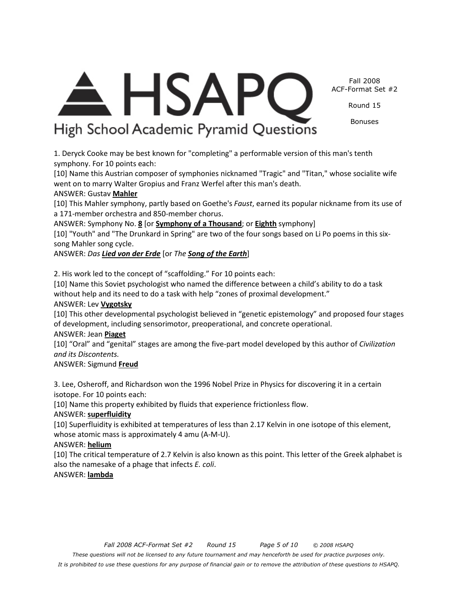*Fall 2008 ACF-Format Set #2 Round 15 Page 5 of 10 © 2008 HSAPQ* 

*These questions will not be licensed to any future tournament and may henceforth be used for practice purposes only.* 

*It is prohibited to use these questions for any purpose of financial gain or to remove the attribution of these questions to HSAPQ.* 

Fall 2008 ACF-Format Set #2

Round 15

Bonuses

**HSAP** 

# High School Academic Pyramid Questions

went on to marry Walter Gropius and Franz Werfel after this man's death.

ANSWER: Symphony No. **8** [or **Symphony of a Thousand**; or **Eighth** symphony]

without help and its need to do a task with help "zones of proximal development."

of development, including sensorimotor, preoperational, and concrete operational.

[10] Name this property exhibited by fluids that experience frictionless flow.

whose atomic mass is approximately 4 amu (A-M-U).

also the namesake of a phage that infects *E. coli*.

symphony. For 10 points each:

a 171-member orchestra and 850-member chorus.

ANSWER: *Das Lied von der Erde* [or *The Song of the Earth*]

2. His work led to the concept of "scaffolding." For 10 points each:

ANSWER: Gustav **Mahler**

song Mahler song cycle.

ANSWER: Lev **Vygotsky**

ANSWER: Jean **Piaget**

*and its Discontents.*  ANSWER: Sigmund **Freud**

isotope. For 10 points each:

ANSWER: **superfluidity**

ANSWER: **helium**

ANSWER: **lambda**

1. Deryck Cooke may be best known for "completing" a performable version of this man's tenth

[10] Name this Austrian composer of symphonies nicknamed "Tragic" and "Titan," whose socialite wife

[10] This Mahler symphony, partly based on Goethe's *Faust*, earned its popular nickname from its use of

[10] "Youth" and "The Drunkard in Spring" are two of the four songs based on Li Po poems in this six-

[10] Name this Soviet psychologist who named the difference between a child's ability to do a task

[10] This other developmental psychologist believed in "genetic epistemology" and proposed four stages

[10] "Oral" and "genital" stages are among the five-part model developed by this author of *Civilization* 

3. Lee, Osheroff, and Richardson won the 1996 Nobel Prize in Physics for discovering it in a certain

[10] Superfluidity is exhibited at temperatures of less than 2.17 Kelvin in one isotope of this element,

[10] The critical temperature of 2.7 Kelvin is also known as this point. This letter of the Greek alphabet is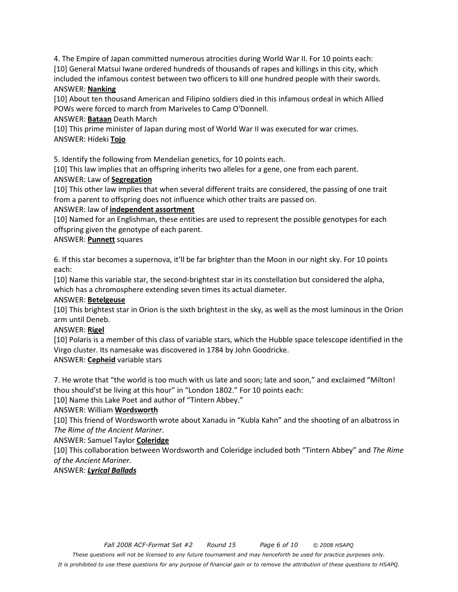4. The Empire of Japan committed numerous atrocities during World War II. For 10 points each: [10] General Matsui Iwane ordered hundreds of thousands of rapes and killings in this city, which included the infamous contest between two officers to kill one hundred people with their swords. ANSWER: **Nanking**

[10] About ten thousand American and Filipino soldiers died in this infamous ordeal in which Allied POWs were forced to march from Mariveles to Camp O'Donnell.

ANSWER: **Bataan** Death March

[10] This prime minister of Japan during most of World War II was executed for war crimes. ANSWER: Hideki **Tojo**

5. Identify the following from Mendelian genetics, for 10 points each.

[10] This law implies that an offspring inherits two alleles for a gene, one from each parent.

## ANSWER: Law of **Segregation**

[10] This other law implies that when several different traits are considered, the passing of one trait from a parent to offspring does not influence which other traits are passed on.

#### ANSWER: law of **independent assortment**

[10] Named for an Englishman, these entities are used to represent the possible genotypes for each offspring given the genotype of each parent.

## ANSWER: **Punnett** squares

6. If this star becomes a supernova, it'll be far brighter than the Moon in our night sky. For 10 points each:

[10] Name this variable star, the second-brightest star in its constellation but considered the alpha, which has a chromosphere extending seven times its actual diameter.

#### ANSWER: **Betelgeuse**

[10] This brightest star in Orion is the sixth brightest in the sky, as well as the most luminous in the Orion arm until Deneb.

#### ANSWER: **Rigel**

[10] Polaris is a member of this class of variable stars, which the Hubble space telescope identified in the Virgo cluster. Its namesake was discovered in 1784 by John Goodricke.

ANSWER: **Cepheid** variable stars

7. He wrote that "the world is too much with us late and soon; late and soon," and exclaimed "Milton! thou should'st be living at this hour" in "London 1802." For 10 points each:

[10] Name this Lake Poet and author of "Tintern Abbey."

## ANSWER: William **Wordsworth**

[10] This friend of Wordsworth wrote about Xanadu in "Kubla Kahn" and the shooting of an albatross in *The Rime of the Ancient Mariner*.

ANSWER: Samuel Taylor **Coleridge**

[10] This collaboration between Wordsworth and Coleridge included both "Tintern Abbey" and *The Rime of the Ancient Mariner*.

## ANSWER: *Lyrical Ballads*

*It is prohibited to use these questions for any purpose of financial gain or to remove the attribution of these questions to HSAPQ.*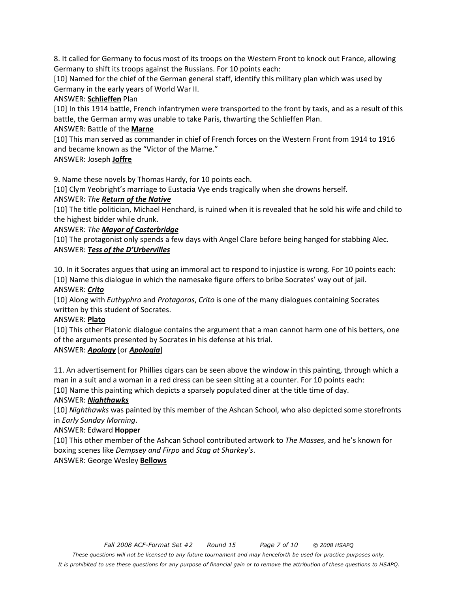8. It called for Germany to focus most of its troops on the Western Front to knock out France, allowing Germany to shift its troops against the Russians. For 10 points each:

[10] Named for the chief of the German general staff, identify this military plan which was used by Germany in the early years of World War II.

#### ANSWER: **Schlieffen** Plan

[10] In this 1914 battle, French infantrymen were transported to the front by taxis, and as a result of this battle, the German army was unable to take Paris, thwarting the Schlieffen Plan.

## ANSWER: Battle of the **Marne**

[10] This man served as commander in chief of French forces on the Western Front from 1914 to 1916 and became known as the "Victor of the Marne."

## ANSWER: Joseph **Joffre**

9. Name these novels by Thomas Hardy, for 10 points each.

[10] Clym Yeobright's marriage to Eustacia Vye ends tragically when she drowns herself.

## ANSWER: *The Return of the Native*

[10] The title politician, Michael Henchard, is ruined when it is revealed that he sold his wife and child to the highest bidder while drunk.

#### ANSWER: *The Mayor of Casterbridge*

[10] The protagonist only spends a few days with Angel Clare before being hanged for stabbing Alec. ANSWER: *Tess of the D'Urbervilles*

10. In it Socrates argues that using an immoral act to respond to injustice is wrong. For 10 points each: [10] Name this dialogue in which the namesake figure offers to bribe Socrates' way out of jail.

## ANSWER: *Crito*

[10] Along with *Euthyphro* and *Protagoras*, *Crito* is one of the many dialogues containing Socrates written by this student of Socrates.

## ANSWER: **Plato**

[10] This other Platonic dialogue contains the argument that a man cannot harm one of his betters, one of the arguments presented by Socrates in his defense at his trial.

## ANSWER: *Apology* [or *Apologia*]

11. An advertisement for Phillies cigars can be seen above the window in this painting, through which a man in a suit and a woman in a red dress can be seen sitting at a counter. For 10 points each:

[10] Name this painting which depicts a sparsely populated diner at the title time of day.

## ANSWER: *Nighthawks*

[10] *Nighthawks* was painted by this member of the Ashcan School, who also depicted some storefronts in *Early Sunday Morning*.

#### ANSWER: Edward **Hopper**

[10] This other member of the Ashcan School contributed artwork to *The Masses*, and he's known for boxing scenes like *Dempsey and Firpo* and *Stag at Sharkey's*.

## ANSWER: George Wesley **Bellows**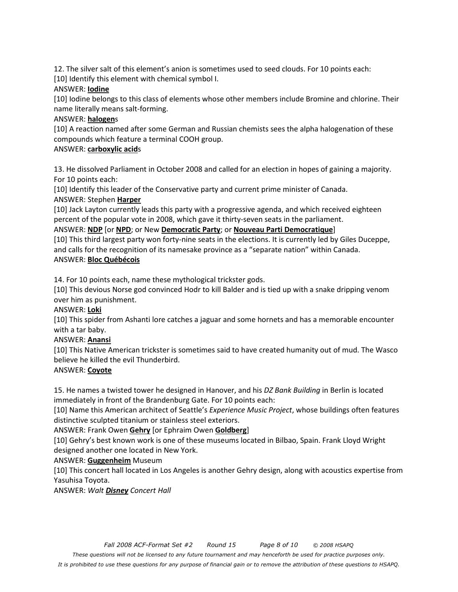12. The silver salt of this element's anion is sometimes used to seed clouds. For 10 points each:

[10] Identify this element with chemical symbol I.

#### ANSWER: **Iodine**

[10] Iodine belongs to this class of elements whose other members include Bromine and chlorine. Their name literally means salt-forming.

## ANSWER: **halogen**s

[10] A reaction named after some German and Russian chemists sees the alpha halogenation of these compounds which feature a terminal COOH group.

## ANSWER: **carboxylic acid**s

13. He dissolved Parliament in October 2008 and called for an election in hopes of gaining a majority. For 10 points each:

[10] Identify this leader of the Conservative party and current prime minister of Canada. ANSWER: Stephen **Harper**

[10] Jack Layton currently leads this party with a progressive agenda, and which received eighteen percent of the popular vote in 2008, which gave it thirty-seven seats in the parliament.

## ANSWER: **NDP** [or **NPD**; or New **Democratic Party**; or **Nouveau Parti Democratique**]

[10] This third largest party won forty-nine seats in the elections. It is currently led by Giles Duceppe, and calls for the recognition of its namesake province as a "separate nation" within Canada. ANSWER: **Bloc Québécois**

14. For 10 points each, name these mythological trickster gods.

[10] This devious Norse god convinced Hodr to kill Balder and is tied up with a snake dripping venom over him as punishment.

#### ANSWER: **Loki**

[10] This spider from Ashanti lore catches a jaguar and some hornets and has a memorable encounter with a tar baby.

## ANSWER: **Anansi**

[10] This Native American trickster is sometimes said to have created humanity out of mud. The Wasco believe he killed the evil Thunderbird.

## ANSWER: **Coyote**

15. He names a twisted tower he designed in Hanover, and his *DZ Bank Building* in Berlin is located immediately in front of the Brandenburg Gate. For 10 points each:

[10] Name this American architect of Seattle's *Experience Music Project*, whose buildings often features distinctive sculpted titanium or stainless steel exteriors.

#### ANSWER: Frank Owen **Gehry** [or Ephraim Owen **Goldberg**]

[10] Gehry's best known work is one of these museums located in Bilbao, Spain. Frank Lloyd Wright designed another one located in New York.

## ANSWER: **Guggenheim** Museum

[10] This concert hall located in Los Angeles is another Gehry design, along with acoustics expertise from Yasuhisa Toyota.

ANSWER: *Walt Disney Concert Hall* 

*These questions will not be licensed to any future tournament and may henceforth be used for practice purposes only.* 

*It is prohibited to use these questions for any purpose of financial gain or to remove the attribution of these questions to HSAPQ.*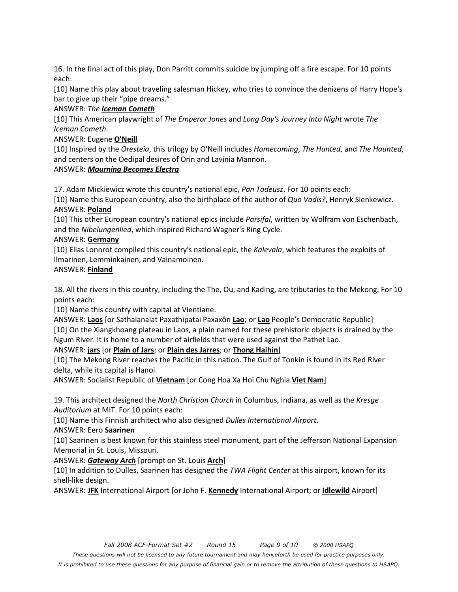16. In the final act of this play, Don Parritt commits suicide by jumping off a fire escape. For 10 points each:

[10] Name this play about traveling salesman Hickey, who tries to convince the denizens of Harry Hope's bar to give up their "pipe dreams."

#### ANSWER: *The Iceman Cometh*

[10] This American playwright of *The Emperor Jones* and *Long Day's Journey Into Night* wrote *The Iceman Cometh*.

## ANSWER: Eugene **O'Neill**

[10] Inspired by the *Oresteia*, this trilogy by O'Neill includes *Homecoming*, *The Hunted*, and *The Haunted*, and centers on the Oedipal desires of Orin and Lavinia Mannon.

## ANSWER: *Mourning Becomes Electra*

17. Adam Mickiewicz wrote this country's national epic, *Pan Tadeusz*. For 10 points each:

[10] Name this European country, also the birthplace of the author of *Quo Vadis?*, Henryk Sienkewicz. ANSWER: **Poland**

[10] This other European country's national epics include *Parsifal*, written by Wolfram von Eschenbach, and the *Nibelungenlied*, which inspired Richard Wagner's Ring Cycle.

#### ANSWER: **Germany**

[10] Elias Lonnrot compiled this country's national epic, the *Kalevala*, which features the exploits of Ilmarinen, Lemminkainen, and Vainamoinen.

#### ANSWER: **Finland**

18. All the rivers in this country, including the The, Ou, and Kading, are tributaries to the Mekong. For 10 points each:

[10] Name this country with capital at Vientiane.

ANSWER: **Laos** [or Sathalanalat Paxathipatai Paxaxôn **Lao**; or **Lao** People's Democratic Republic] [10] On the Xiangkhoang plateau in Laos, a plain named for these prehistoric objects is drained by the Ngum River. It is home to a number of airfields that were used against the Pathet Lao.

#### ANSWER: **jars** [or **Plain of Jars**; or **Plain des Jarres**; or **Thong Haihin**]

[10] The Mekong River reaches the Pacific in this nation. The Gulf of Tonkin is found in its Red River delta, while its capital is Hanoi.

ANSWER: Socialist Republic of **Vietnam** [or Cong Hoa Xa Hoi Chu Nghia **Viet Nam**]

19. This architect designed the *North Christian Church* in Columbus, Indiana, as well as the *Kresge Auditorium* at MIT. For 10 points each:

[10] Name this Finnish architect who also designed *Dulles International Airport*.

#### ANSWER: Eero **Saarinen**

[10] Saarinen is best known for this stainless steel monument, part of the Jefferson National Expansion Memorial in St. Louis, Missouri.

#### ANSWER: *Gateway Arch* [prompt on St. Louis **Arch**]

[10] In addition to Dulles, Saarinen has designed the *TWA Flight Center* at this airport, known for its shell-like design.

ANSWER: **JFK** International Airport [or John F. **Kennedy** International Airport; or **Idlewild** Airport]

*These questions will not be licensed to any future tournament and may henceforth be used for practice purposes only.* 

*It is prohibited to use these questions for any purpose of financial gain or to remove the attribution of these questions to HSAPQ.*